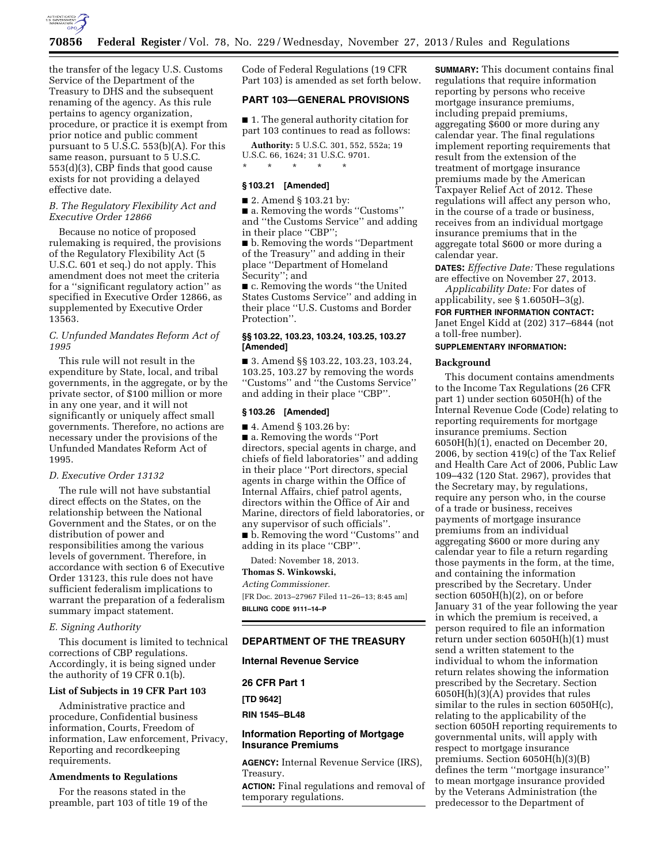

the transfer of the legacy U.S. Customs Service of the Department of the Treasury to DHS and the subsequent renaming of the agency. As this rule pertains to agency organization, procedure, or practice it is exempt from prior notice and public comment pursuant to 5 U.S.C. 553(b)(A). For this same reason, pursuant to 5 U.S.C. 553(d)(3), CBP finds that good cause exists for not providing a delayed effective date.

## *B. The Regulatory Flexibility Act and Executive Order 12866*

Because no notice of proposed rulemaking is required, the provisions of the Regulatory Flexibility Act (5 U.S.C. 601 et seq.) do not apply. This amendment does not meet the criteria for a ''significant regulatory action'' as specified in Executive Order 12866, as supplemented by Executive Order 13563.

## *C. Unfunded Mandates Reform Act of 1995*

This rule will not result in the expenditure by State, local, and tribal governments, in the aggregate, or by the private sector, of \$100 million or more in any one year, and it will not significantly or uniquely affect small governments. Therefore, no actions are necessary under the provisions of the Unfunded Mandates Reform Act of 1995.

# *D. Executive Order 13132*

The rule will not have substantial direct effects on the States, on the relationship between the National Government and the States, or on the distribution of power and responsibilities among the various levels of government. Therefore, in accordance with section 6 of Executive Order 13123, this rule does not have sufficient federalism implications to warrant the preparation of a federalism summary impact statement.

## *E. Signing Authority*

This document is limited to technical corrections of CBP regulations. Accordingly, it is being signed under the authority of 19 CFR 0.1(b).

## **List of Subjects in 19 CFR Part 103**

Administrative practice and procedure, Confidential business information, Courts, Freedom of information, Law enforcement, Privacy, Reporting and recordkeeping requirements.

## **Amendments to Regulations**

For the reasons stated in the preamble, part 103 of title 19 of the Code of Federal Regulations (19 CFR Part 103) is amended as set forth below.

# **PART 103—GENERAL PROVISIONS**

■ 1. The general authority citation for part 103 continues to read as follows:

**Authority:** 5 U.S.C. 301, 552, 552a; 19 U.S.C. 66, 1624; 31 U.S.C. 9701.

#### \* \* \* \* \*

# **§ 103.21 [Amended]**

■ 2. Amend § 103.21 by:

■ a. Removing the words "Customs" and ''the Customs Service'' and adding in their place ''CBP'';

■ b. Removing the words "Department of the Treasury'' and adding in their place ''Department of Homeland Security''; and

■ c. Removing the words "the United States Customs Service'' and adding in their place ''U.S. Customs and Border Protection''.

## **§§ 103.22, 103.23, 103.24, 103.25, 103.27 [Amended]**

■ 3. Amend §§ 103.22, 103.23, 103.24, 103.25, 103.27 by removing the words ''Customs'' and ''the Customs Service'' and adding in their place ''CBP''.

## **§ 103.26 [Amended]**

■ 4. Amend § 103.26 by: ■ a. Removing the words "Port

directors, special agents in charge, and chiefs of field laboratories'' and adding in their place ''Port directors, special agents in charge within the Office of Internal Affairs, chief patrol agents, directors within the Office of Air and Marine, directors of field laboratories, or any supervisor of such officials''.

■ b. Removing the word "Customs" and adding in its place ''CBP''.

Dated: November 18, 2013. **Thomas S. Winkowski,** 

# *Acting Commissioner.*

[FR Doc. 2013–27967 Filed 11–26–13; 8:45 am] **BILLING CODE 9111–14–P** 

## **DEPARTMENT OF THE TREASURY**

**Internal Revenue Service** 

**26 CFR Part 1 [TD 9642] RIN 1545–BL48** 

## **Information Reporting of Mortgage Insurance Premiums**

**AGENCY:** Internal Revenue Service (IRS), Treasury.

**ACTION:** Final regulations and removal of temporary regulations.

**SUMMARY:** This document contains final regulations that require information reporting by persons who receive mortgage insurance premiums, including prepaid premiums, aggregating \$600 or more during any calendar year. The final regulations implement reporting requirements that result from the extension of the treatment of mortgage insurance premiums made by the American Taxpayer Relief Act of 2012. These regulations will affect any person who, in the course of a trade or business, receives from an individual mortgage insurance premiums that in the aggregate total \$600 or more during a calendar year.

**DATES:** *Effective Date:* These regulations are effective on November 27, 2013. *Applicability Date:* For dates of

applicability, see § 1.6050H–3(g).

**FOR FURTHER INFORMATION CONTACT:**  Janet Engel Kidd at (202) 317–6844 (not a toll-free number).

## **SUPPLEMENTARY INFORMATION:**

#### **Background**

This document contains amendments to the Income Tax Regulations (26 CFR part 1) under section 6050H(h) of the Internal Revenue Code (Code) relating to reporting requirements for mortgage insurance premiums. Section 6050H(h)(1), enacted on December 20, 2006, by section 419(c) of the Tax Relief and Health Care Act of 2006, Public Law 109–432 (120 Stat. 2967), provides that the Secretary may, by regulations, require any person who, in the course of a trade or business, receives payments of mortgage insurance premiums from an individual aggregating \$600 or more during any calendar year to file a return regarding those payments in the form, at the time, and containing the information prescribed by the Secretary. Under section 6050H(h)(2), on or before January 31 of the year following the year in which the premium is received, a person required to file an information return under section 6050H(h)(1) must send a written statement to the individual to whom the information return relates showing the information prescribed by the Secretary. Section 6050H(h)(3)(A) provides that rules similar to the rules in section 6050H(c), relating to the applicability of the section 6050H reporting requirements to governmental units, will apply with respect to mortgage insurance premiums. Section 6050H(h)(3)(B) defines the term ''mortgage insurance'' to mean mortgage insurance provided by the Veterans Administration (the predecessor to the Department of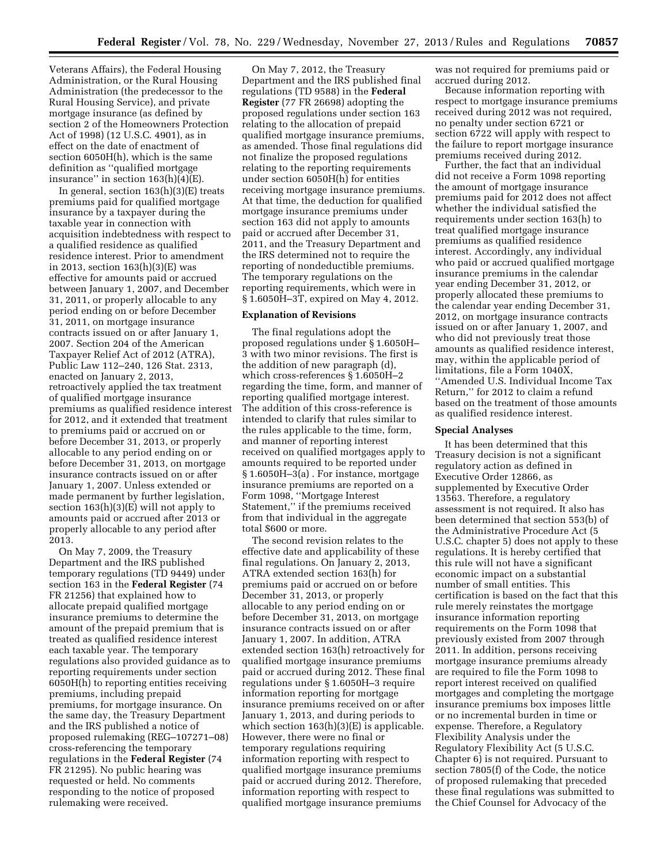Veterans Affairs), the Federal Housing Administration, or the Rural Housing Administration (the predecessor to the Rural Housing Service), and private mortgage insurance (as defined by section 2 of the Homeowners Protection Act of 1998) (12 U.S.C. 4901), as in effect on the date of enactment of section 6050H(h), which is the same definition as ''qualified mortgage insurance" in section  $163(h)(4)(E)$ .

In general, section  $163(h)(3)(E)$  treats premiums paid for qualified mortgage insurance by a taxpayer during the taxable year in connection with acquisition indebtedness with respect to a qualified residence as qualified residence interest. Prior to amendment in 2013, section 163(h)(3)(E) was effective for amounts paid or accrued between January 1, 2007, and December 31, 2011, or properly allocable to any period ending on or before December 31, 2011, on mortgage insurance contracts issued on or after January 1, 2007. Section 204 of the American Taxpayer Relief Act of 2012 (ATRA), Public Law 112–240, 126 Stat. 2313, enacted on January 2, 2013, retroactively applied the tax treatment of qualified mortgage insurance premiums as qualified residence interest for 2012, and it extended that treatment to premiums paid or accrued on or before December 31, 2013, or properly allocable to any period ending on or before December 31, 2013, on mortgage insurance contracts issued on or after January 1, 2007. Unless extended or made permanent by further legislation, section 163(h)(3)(E) will not apply to amounts paid or accrued after 2013 or properly allocable to any period after 2013.

On May 7, 2009, the Treasury Department and the IRS published temporary regulations (TD 9449) under section 163 in the **Federal Register** (74 FR 21256) that explained how to allocate prepaid qualified mortgage insurance premiums to determine the amount of the prepaid premium that is treated as qualified residence interest each taxable year. The temporary regulations also provided guidance as to reporting requirements under section 6050H(h) to reporting entities receiving premiums, including prepaid premiums, for mortgage insurance. On the same day, the Treasury Department and the IRS published a notice of proposed rulemaking (REG–107271–08) cross-referencing the temporary regulations in the **Federal Register** (74 FR 21295). No public hearing was requested or held. No comments responding to the notice of proposed rulemaking were received.

On May 7, 2012, the Treasury Department and the IRS published final regulations (TD 9588) in the **Federal Register** (77 FR 26698) adopting the proposed regulations under section 163 relating to the allocation of prepaid qualified mortgage insurance premiums, as amended. Those final regulations did not finalize the proposed regulations relating to the reporting requirements under section 6050H(h) for entities receiving mortgage insurance premiums. At that time, the deduction for qualified mortgage insurance premiums under section 163 did not apply to amounts paid or accrued after December 31, 2011, and the Treasury Department and the IRS determined not to require the reporting of nondeductible premiums. The temporary regulations on the reporting requirements, which were in § 1.6050H–3T, expired on May 4, 2012.

#### **Explanation of Revisions**

The final regulations adopt the proposed regulations under § 1.6050H– 3 with two minor revisions. The first is the addition of new paragraph (d), which cross-references § 1.6050H–2 regarding the time, form, and manner of reporting qualified mortgage interest. The addition of this cross-reference is intended to clarify that rules similar to the rules applicable to the time, form, and manner of reporting interest received on qualified mortgages apply to amounts required to be reported under § 1.6050H–3(a) . For instance, mortgage insurance premiums are reported on a Form 1098, ''Mortgage Interest Statement,'' if the premiums received from that individual in the aggregate total \$600 or more.

The second revision relates to the effective date and applicability of these final regulations. On January 2, 2013, ATRA extended section 163(h) for premiums paid or accrued on or before December 31, 2013, or properly allocable to any period ending on or before December 31, 2013, on mortgage insurance contracts issued on or after January 1, 2007. In addition, ATRA extended section 163(h) retroactively for qualified mortgage insurance premiums paid or accrued during 2012. These final regulations under § 1.6050H–3 require information reporting for mortgage insurance premiums received on or after January 1, 2013, and during periods to which section 163(h)(3)(E) is applicable. However, there were no final or temporary regulations requiring information reporting with respect to qualified mortgage insurance premiums paid or accrued during 2012. Therefore, information reporting with respect to qualified mortgage insurance premiums

was not required for premiums paid or accrued during 2012.

Because information reporting with respect to mortgage insurance premiums received during 2012 was not required, no penalty under section 6721 or section 6722 will apply with respect to the failure to report mortgage insurance premiums received during 2012.

Further, the fact that an individual did not receive a Form 1098 reporting the amount of mortgage insurance premiums paid for 2012 does not affect whether the individual satisfied the requirements under section 163(h) to treat qualified mortgage insurance premiums as qualified residence interest. Accordingly, any individual who paid or accrued qualified mortgage insurance premiums in the calendar year ending December 31, 2012, or properly allocated these premiums to the calendar year ending December 31, 2012, on mortgage insurance contracts issued on or after January 1, 2007, and who did not previously treat those amounts as qualified residence interest, may, within the applicable period of limitations, file a Form 1040X, ''Amended U.S. Individual Income Tax Return,'' for 2012 to claim a refund based on the treatment of those amounts as qualified residence interest.

#### **Special Analyses**

It has been determined that this Treasury decision is not a significant regulatory action as defined in Executive Order 12866, as supplemented by Executive Order 13563. Therefore, a regulatory assessment is not required. It also has been determined that section 553(b) of the Administrative Procedure Act (5 U.S.C. chapter 5) does not apply to these regulations. It is hereby certified that this rule will not have a significant economic impact on a substantial number of small entities. This certification is based on the fact that this rule merely reinstates the mortgage insurance information reporting requirements on the Form 1098 that previously existed from 2007 through 2011. In addition, persons receiving mortgage insurance premiums already are required to file the Form 1098 to report interest received on qualified mortgages and completing the mortgage insurance premiums box imposes little or no incremental burden in time or expense. Therefore, a Regulatory Flexibility Analysis under the Regulatory Flexibility Act (5 U.S.C. Chapter 6) is not required. Pursuant to section 7805(f) of the Code, the notice of proposed rulemaking that preceded these final regulations was submitted to the Chief Counsel for Advocacy of the